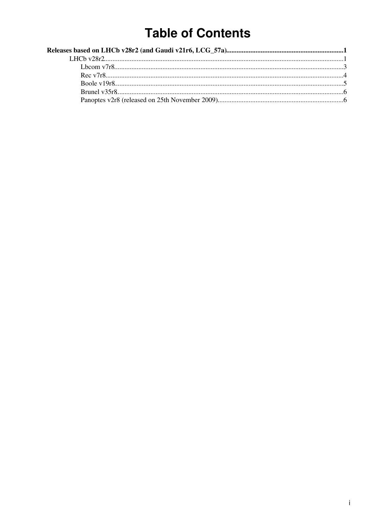## **Table of Contents**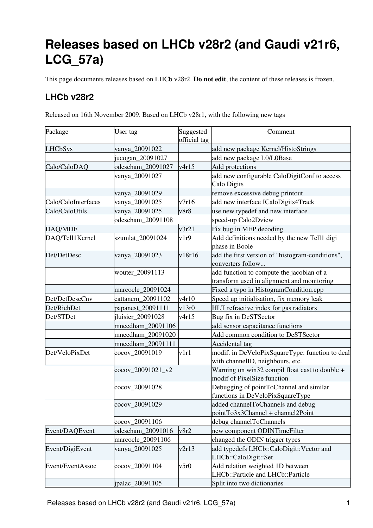# <span id="page-1-0"></span>**Releases based on LHCb v28r2 (and Gaudi v21r6, LCG\_57a)**

This page documents releases based on LHCb v28r2. **Do not edit**, the content of these releases is frozen.

## <span id="page-1-1"></span>**LHCb v28r2**

Released on 16th November 2009. Based on LHCb v28r1, with the following new tags

| Package             | User tag          | Suggested<br>official tag | Comment                                                                                 |
|---------------------|-------------------|---------------------------|-----------------------------------------------------------------------------------------|
| <b>LHCbSys</b>      | vanya_20091022    |                           | add new package Kernel/HistoStrings                                                     |
|                     | jucogan_20091027  |                           | add new package L0/L0Base                                                               |
| Calo/CaloDAQ        | odescham_20091027 | v4r15                     | Add protections                                                                         |
|                     | vanya_20091027    |                           | add new configurable CaloDigitConf to access<br>Calo Digits                             |
|                     | vanya_20091029    |                           | remove excessive debug printout                                                         |
| Calo/CaloInterfaces | vanya_20091025    | v7r16                     | add new interface ICaloDigits4Track                                                     |
| Calo/CaloUtils      | vanya_20091025    | v8r8                      | use new typedef and new interface                                                       |
|                     | odescham_20091108 |                           | speed-up Calo2Dview                                                                     |
| DAQ/MDF             |                   | v3r21                     | Fix bug in MEP decoding                                                                 |
| DAQ/Tell1Kernel     | szumlat_20091024  | v1r9                      | Add definitions needed by the new Tell1 digi<br>phase in Boole                          |
| Det/DetDesc         | vanya_20091023    | v18r16                    | add the first version of "histogram-conditions",<br>converters follow                   |
|                     | wouter_20091113   |                           | add function to compute the jacobian of a<br>transform used in alignment and monitoring |
|                     | marcocle_20091024 |                           | Fixed a typo in HistogramCondition.cpp                                                  |
| Det/DetDescCnv      | cattanem_20091102 | v4r10                     | Speed up initialisation, fix memory leak                                                |
| Det/RichDet         | papanest_20091111 | v13r0                     | HLT refractive index for gas radiators                                                  |
| Det/STDet           | jluisier_20091028 | v4r15                     | Bug fix in DeSTSector                                                                   |
|                     | mneedham_20091106 |                           | add sensor capacitance functions                                                        |
|                     | mneedham_20091020 |                           | Add common condition to DeSTSector                                                      |
|                     | mneedham_20091111 |                           | Accidental tag                                                                          |
| Det/VeloPixDet      | cocov_20091019    | v1r1                      | modif. in DeVeloPixSquareType: function to deal<br>with channelID, neighbours, etc.     |
|                     | cocov_20091021_v2 |                           | Warning on win32 compil float cast to double +<br>modif of PixelSize function           |
|                     | cocov_20091028    |                           | Debugging of pointToChannel and similar<br>functions in DeVeloPixSquareType             |
|                     | cocov_20091029    |                           | added channelToChannels and debug<br>$pointTo3x3Channel + channel2Point$                |
|                     | cocov_20091106    |                           | debug channelToChannels                                                                 |
| Event/DAQEvent      | odescham_20091016 | v8r2                      | new component ODINTimeFilter                                                            |
|                     | marcocle_20091106 |                           | changed the ODIN trigger types                                                          |
| Event/DigiEvent     | vanya_20091025    | v2r13                     | add typedefs LHCb::CaloDigit::Vector and<br>LHCb::CaloDigit::Set                        |
| Event/EventAssoc    | cocov_20091104    | v5r0                      | Add relation weighted 1D between<br>LHCb::Particle and LHCb::Particle                   |
|                     | ipalac_20091105   |                           | Split into two dictionaries                                                             |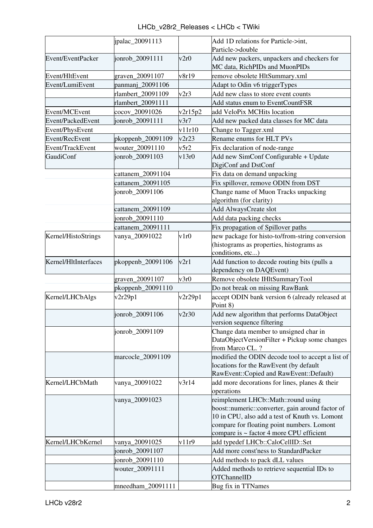| LHCb v28r2 Releases < LHCb < TWiki |  |  |  |
|------------------------------------|--|--|--|
|------------------------------------|--|--|--|

|                      | ipalac_20091113   |         | Add 1D relations for Particle->int,                                           |
|----------------------|-------------------|---------|-------------------------------------------------------------------------------|
|                      |                   |         | Particle->double                                                              |
| Event/EventPacker    | jonrob_20091111   | v2r0    | Add new packers, unpackers and checkers for<br>MC data, RichPIDs and MuonPIDs |
| Event/HltEvent       | graven_20091107   | v8r19   | remove obsolete HltSummary.xml                                                |
| Event/LumiEvent      | panmanj_20091106  |         | Adapt to Odin v6 triggerTypes                                                 |
|                      | rlambert_20091109 | v2r3    | Add new class to store event counts                                           |
|                      | rlambert_20091111 |         | Add status enum to EventCountFSR                                              |
| Event/MCEvent        | cocov_20091026    | v2r15p2 | add VeloPix MCHits location                                                   |
| Event/PackedEvent    | jonrob_20091111   | v3r7    | Add new packed data classes for MC data                                       |
| Event/PhysEvent      |                   | v11r10  | Change to Tagger.xml                                                          |
| Event/RecEvent       | pkoppenb_20091109 | v2r23   | Rename enums for HLT PVs                                                      |
| Event/TrackEvent     | wouter_20091110   | v5r2    | Fix declaration of node-range                                                 |
| GaudiConf            | jonrob_20091103   | v13r0   | Add new SimConf Configurable + Update                                         |
|                      |                   |         | DigiConf and DstConf                                                          |
|                      | cattanem_20091104 |         | Fix data on demand unpacking                                                  |
|                      | cattanem_20091105 |         | Fix spillover, remove ODIN from DST                                           |
|                      | jonrob_20091106   |         | Change name of Muon Tracks unpacking                                          |
|                      |                   |         | algorithm (for clarity)                                                       |
|                      | cattanem_20091109 |         | Add AlwaysCreate slot                                                         |
|                      | jonrob_20091110   |         | Add data packing checks                                                       |
|                      | cattanem_20091111 |         | Fix propagation of Spillover paths                                            |
| Kernel/HistoStrings  | vanya_20091022    | v1r0    | new package for histo-to/from-string conversion                               |
|                      |                   |         | (histograms as properties, histograms as                                      |
|                      |                   |         | conditions, etc)                                                              |
| Kernel/HltInterfaces | pkoppenb_20091106 | v2r1    | Add function to decode routing bits (pulls a                                  |
|                      |                   |         | dependency on DAQEvent)                                                       |
|                      | graven_20091107   | v3r0    | Remove obsolete IHltSummaryTool                                               |
|                      | pkoppenb_20091110 |         | Do not break on missing RawBank                                               |
| Kernel/LHCbAlgs      | v2r29p1           | v2r29p1 | accept ODIN bank version 6 (already released at<br>Point 8)                   |
|                      | jonrob_20091106   | v2r30   | Add new algorithm that performs DataObject                                    |
|                      |                   |         | version sequence filtering                                                    |
|                      | jonrob_20091109   |         | Change data member to unsigned char in                                        |
|                      |                   |         | DataObjectVersionFilter + Pickup some changes                                 |
|                      |                   |         | from Marco CL. ?                                                              |
|                      | marcocle_20091109 |         | modified the ODIN decode tool to accept a list of                             |
|                      |                   |         | locations for the RawEvent (by default                                        |
|                      |                   |         | RawEvent::Copied and RawEvent::Default)                                       |
| Kernel/LHCbMath      | vanya_20091022    | v3r14   | add more decorations for lines, planes & their<br>operations                  |
|                      | vanya_20091023    |         | reimplement LHCb::Math::round using                                           |
|                      |                   |         | boost::numeric::converter, gain around factor of                              |
|                      |                   |         | 10 in CPU, also add a test of Knuth vs. Lomont                                |
|                      |                   |         | compare for floating point numbers. Lomont                                    |
|                      |                   |         | compare is ~ factor 4 more CPU efficient                                      |
| Kernel/LHCbKernel    | vanya_20091025    | v11r9   | add typedef LHCb::CaloCellID::Set                                             |
|                      | jonrob_20091107   |         | Add more const'ness to StandardPacker                                         |
|                      | jonrob_20091110   |         | Add methods to pack dLL values                                                |
|                      | wouter_20091111   |         | Added methods to retrieve sequential IDs to                                   |
|                      |                   |         | <b>OTChannelID</b>                                                            |
|                      | mneedham_20091111 |         | Bug fix in TTNames                                                            |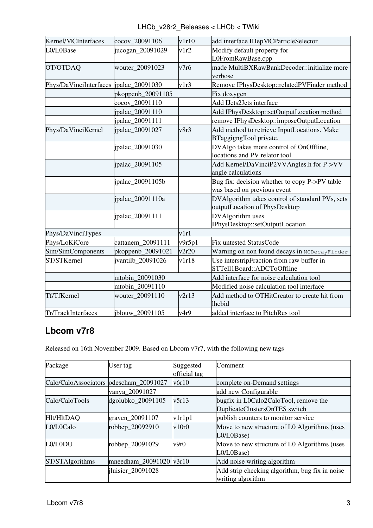| LHCb v28r2 Releases < LHCb < TWiki |  |
|------------------------------------|--|
|------------------------------------|--|

| Kernel/MCInterfaces                     | cocov 20091106    | v1r10  | add interface IHepMCParticleSelector                           |
|-----------------------------------------|-------------------|--------|----------------------------------------------------------------|
| L0/L0Base                               | jucogan_20091029  | v1r2   | Modify default property for                                    |
|                                         |                   |        | L0FromRawBase.cpp                                              |
| OT/OTDAQ                                | wouter_20091023   | v7r6   | made MultiBXRawBankDecoder::initialize more                    |
|                                         |                   |        | verbose                                                        |
| Phys/DaVinciInterfaces  jpalac_20091030 |                   | v1r3   | Remove IPhysDesktop::relatedPVFinder method                    |
|                                         | pkoppenb_20091105 |        | Fix doxygen                                                    |
|                                         | cocov_20091110    |        | Add IJets2Jets interface                                       |
|                                         | ipalac_20091110   |        | Add IPhysDesktop::setOutputLocation method                     |
|                                         | ipalac_20091111   |        | remove IPhysDesktop::imposeOutputLocation                      |
| Phys/DaVinciKernel                      | jpalac_20091027   | v8r3   | Add method to retrieve InputLocations. Make                    |
|                                         |                   |        | BTaggigngTool private.                                         |
|                                         | jpalac_20091030   |        | DVAlgo takes more control of OnOffline,                        |
|                                         |                   |        | locations and PV relator tool                                  |
|                                         | ipalac_20091105   |        | Add Kernel/DaVinciP2VVAngles.h for P->VV                       |
|                                         |                   |        | angle calculations                                             |
|                                         | jpalac_20091105b  |        | Bug fix: decision whether to copy P->PV table                  |
|                                         |                   |        | was based on previous event                                    |
|                                         | ipalac_20091110a  |        | DVAlgorithm takes control of standard PVs, sets                |
|                                         |                   |        | outputLocation of PhysDesktop                                  |
|                                         | ipalac_20091111   |        | DVAlgorithm uses                                               |
|                                         |                   |        | IPhysDesktop::setOutputLocation                                |
| Phys/DaVinciTypes                       |                   | v1r1   |                                                                |
| Phys/LoKiCore                           | cattanem_20091111 | v9r5p1 | Fix untested StatusCode                                        |
| Sim/SimComponents                       | pkoppenb_20091021 | v2r20  | Warning on non found decays in MCDecayFinder                   |
| ST/STKernel                             | jvantilb_20091026 | v1r18  | Use interstripFraction from raw buffer in                      |
|                                         |                   |        | STTell1Board::ADCToOffline                                     |
|                                         | mtobin 20091030   |        | Add interface for noise calculation tool                       |
|                                         | mtobin_20091110   |        | Modified noise calculation tool interface                      |
| Tf/TfKernel                             | wouter_20091110   | v2r13  | Add method to OTHitCreator to create hit from<br><b>lhcbid</b> |
| Tr/TrackInterfaces                      | jblouw 20091105   | v4r9   | added interface to PitchRes tool                               |

## <span id="page-3-0"></span>**Lbcom v7r8**

Released on 16th November 2009. Based on Lbcom v7r7, with the following new tags

| Package                                 | User tag                | Suggested<br>official tag | Comment                                                                |
|-----------------------------------------|-------------------------|---------------------------|------------------------------------------------------------------------|
| Calo/CaloAssociators  odescham_20091027 |                         | v6r10                     | complete on-Demand settings                                            |
|                                         | vanya_20091027          |                           | add new Configurable                                                   |
| Calo/CaloTools                          | dgolubko_20091105       | v5r13                     | bugfix in L0Calo2CaloTool, remove the<br>DuplicateClustersOnTES switch |
| Hlt/HltDAQ                              | graven_20091107         | v1r1p1                    | publish counters to monitor service                                    |
| L0/L0Calo                               | robbep_20092910         | v10r0                     | Move to new structure of L0 Algorithms (uses<br>L0/L0Base)             |
| L0/L0DU                                 | robbep_20091029         | v9r0                      | Move to new structure of L0 Algorithms (uses<br>L0/L0Base)             |
| ST/STAlgorithms                         | mneedham_20091020 v3r10 |                           | Add noise writing algorithm                                            |
|                                         | jluisier_20091028       |                           | Add strip checking algorithm, bug fix in noise<br>writing algorithm    |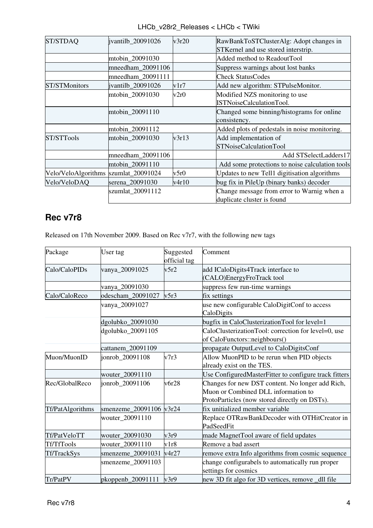|                   |           | LHCb v28r2 Releases < LHCb < TWiki                                                 |
|-------------------|-----------|------------------------------------------------------------------------------------|
| antilh 20091026 - | $v^2r^20$ | $\mathbb{R}$ aw $\mathbb{R}$ ank $\mathbb{T}$ oS $\mathbb{T}$ Cluster $\mathbb{A}$ |

| ST/STDAQ                             | jvantilb_20091026 | v3r20 | RawBankToSTClusterAlg: Adopt changes in<br>STKernel and use stored interstrip. |
|--------------------------------------|-------------------|-------|--------------------------------------------------------------------------------|
|                                      | mtobin_20091030   |       | Added method to ReadoutTool                                                    |
|                                      | mneedham_20091106 |       | Suppress warnings about lost banks                                             |
|                                      | mneedham_20091111 |       | <b>Check StatusCodes</b>                                                       |
| <b>ST/STMonitors</b>                 | jvantilb_20091026 | v1r7  | Add new algorithm: STPulseMonitor.                                             |
|                                      | mtobin_20091030   | v2r0  | Modified NZS monitoring to use<br><b>ISTNoiseCalculationTool.</b>              |
|                                      | mtobin_20091110   |       | Changed some binning/histograms for online<br>consistency.                     |
|                                      | mtobin 20091112   |       | Added plots of pedestals in noise monitoring.                                  |
| ST/STTools                           | mtobin 20091030   | v3r13 | Add implementation of<br><b>STNoiseCalculationTool</b>                         |
|                                      | mneedham_20091106 |       | Add STSelectLadders17                                                          |
|                                      | mtobin_20091110   |       | Add some protections to noise calculation tools                                |
| Velo/VeloAlgorithms szumlat_20091024 |                   | v5r0  | Updates to new Tell1 digitisation algorithms                                   |
| Velo/VeloDAQ                         | serena_20091030   | v4r10 | bug fix in PileUp (binary banks) decoder                                       |
|                                      | szumlat_20091112  |       | Change message from error to Warnig when a<br>duplicate cluster is found       |

## <span id="page-4-0"></span>**Rec v7r8**

Released on 17th November 2009. Based on Rec v7r7, with the following new tags

| Package          | User tag                | Suggested<br>official tag | Comment                                                                                                                                  |
|------------------|-------------------------|---------------------------|------------------------------------------------------------------------------------------------------------------------------------------|
| Calo/CaloPIDs    | vanya_20091025          | v5r2                      | add ICaloDigits4Track interface to<br>(CALO)EnergyFroTrack tool                                                                          |
|                  | vanya_20091030          |                           | suppress few run-time warnings                                                                                                           |
| Calo/CaloReco    | odescham_20091027       | v5r3                      | fix settings                                                                                                                             |
|                  | vanya_20091027          |                           | use new configurable CaloDigitConf to access<br>CaloDigits                                                                               |
|                  | dgolubko_20091030       |                           | bugfix in CaloClusterizationTool for level=1                                                                                             |
|                  | dgolubko_20091105       |                           | CaloClusterizationTool: correction for level=0, use<br>of CaloFunctors::neighbours()                                                     |
|                  | cattanem_20091109       |                           | propagate OutputLevel to CaloDigitsConf                                                                                                  |
| Muon/MuonID      | jonrob 20091108         | v7r3                      | Allow MuonPID to be rerun when PID objects<br>already exist on the TES.                                                                  |
|                  | wouter_20091110         |                           | Use ConfiguredMasterFitter to configure track fitters                                                                                    |
| Rec/GlobalReco   | jonrob 20091106         | v6r28                     | Changes for new DST content. No longer add Rich,<br>Muon or Combined DLL information to<br>ProtoParticles (now stored directly on DSTs). |
| Tf/PatAlgorithms | smenzeme_20091106 v3r24 |                           | fix unitialized member variable                                                                                                          |
|                  | wouter_20091110         |                           | Replace OTRawBankDecoder with OTHitCreator in<br>PadSeedFit                                                                              |
| Tf/PatVeloTT     | wouter_20091030         | v3r9                      | made MagnetTool aware of field updates                                                                                                   |
| Tf/TfTools       | wouter_20091110         | v1r8                      | Remove a bad assert                                                                                                                      |
| Tf/TrackSys      | smenzeme 20091031       | v4r27                     | remove extra Info algorithms from cosmic sequence                                                                                        |
|                  | smenzeme_20091103       |                           | change configurabels to automatically run proper<br>settings for cosmics                                                                 |
| Tr/PatPV         | pkoppenb_20091111       | v3r9                      | new 3D fit algo for 3D vertices, remove _dll file                                                                                        |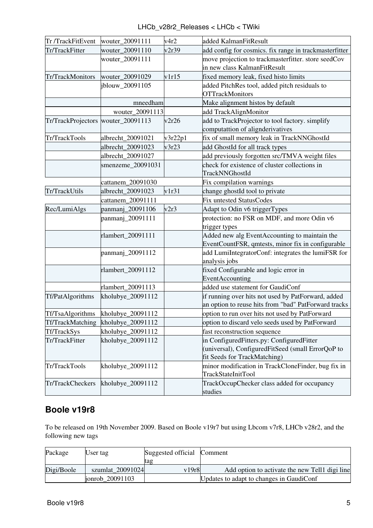| LHCb v28r2 Releases < LHCb < TWiki |  |  |  |
|------------------------------------|--|--|--|
|------------------------------------|--|--|--|

| Tr /TrackFitEvent                  | wouter_20091111   | v4r2    | added KalmanFitResult                                  |
|------------------------------------|-------------------|---------|--------------------------------------------------------|
| Tr/TrackFitter                     | wouter_20091110   | v2r39   | add config for cosmics. fix range in trackmasterfitter |
|                                    | wouter_20091111   |         | move projection to trackmasterfitter. store seedCov    |
|                                    |                   |         | in new class KalmanFitResult                           |
| Tr/TrackMonitors                   | wouter_20091029   | v1r15   | fixed memory leak, fixed histo limits                  |
|                                    | jblouw_20091105   |         | added PitchRes tool, added pitch residuals to          |
|                                    |                   |         | <b>OTTrackMonitors</b>                                 |
|                                    | mneedham          |         | Make alignment histos by default                       |
|                                    | wouter 20091113   |         | add TrackAlignMonitor                                  |
| Tr/TrackProjectors wouter_20091113 |                   | v2r26   | add to TrackProjector to tool factory. simplify        |
|                                    |                   |         | computattion of alignderivatives                       |
| Tr/TrackTools                      | albrecht_20091021 | v3r22p1 | fix of small memory leak in TrackNNGhostId             |
|                                    | albrecht_20091023 | v3r23   | add GhostId for all track types                        |
|                                    | albrecht_20091027 |         | add previously forgotten src/TMVA weight files         |
|                                    | smenzeme_20091031 |         | check for existence of cluster collections in          |
|                                    |                   |         | TrackNNGhostId                                         |
|                                    | cattanem_20091030 |         | Fix compilation warnings                               |
| Tr/TrackUtils                      | albrecht_20091023 | v1r31   | change ghostId tool to private                         |
|                                    | cattanem_20091111 |         | <b>Fix untested StatusCodes</b>                        |
| Rec/LumiAlgs                       | panmanj_20091106  | v2r3    | Adapt to Odin v6 triggerTypes                          |
|                                    | panmanj_20091111  |         | protection: no FSR on MDF, and more Odin v6            |
|                                    |                   |         | trigger types                                          |
|                                    | rlambert_20091111 |         | Added new alg EventAccounting to maintain the          |
|                                    |                   |         | EventCountFSR, qmtests, minor fix in configurable      |
|                                    | panmanj_20091112  |         | add LumiIntegratorConf: integrates the lumiFSR for     |
|                                    |                   |         | analysis jobs                                          |
|                                    | rlambert_20091112 |         | fixed Configurable and logic error in                  |
|                                    |                   |         | EventAccounting                                        |
|                                    | rlambert_20091113 |         | added use statement for GaudiConf                      |
| Tf/PatAlgorithms                   | kholubye_20091112 |         | if running over hits not used by PatForward, added     |
|                                    |                   |         | an option to reuse hits from "bad" PatForward tracks   |
| Tf/TsaAlgorithms                   | kholubye_20091112 |         | option to run over hits not used by PatForward         |
| Tf/TrackMatching                   | kholubye_20091112 |         | option to discard velo seeds used by PatForward        |
| Tf/TrackSys                        | kholubye_20091112 |         | fast reconstruction sequence                           |
| Tr/TrackFitter                     | kholubye_20091112 |         | in ConfiguredFitters.py: ConfiguredFitter              |
|                                    |                   |         | (universal), ConfiguredFitSeed (small ErrorQoP to      |
|                                    |                   |         | fit Seeds for TrackMatching)                           |
| Tr/TrackTools                      | kholubye_20091112 |         | minor modification in TrackCloneFinder, bug fix in     |
|                                    |                   |         | TrackStateInitTool                                     |
| Tr/TrackCheckers                   | kholubye_20091112 |         | TrackOccupChecker class added for occupancy            |
|                                    |                   |         | studies                                                |

## <span id="page-5-0"></span>**Boole v19r8**

To be released on 19th November 2009. Based on Boole v19r7 but using Lbcom v7r8, LHCb v28r2, and the following new tags

| Package    | User tag         | Suggested official | Comment                                        |
|------------|------------------|--------------------|------------------------------------------------|
|            |                  | tag                |                                                |
| Digi/Boole | szumlat 20091024 | v19r8              | Add option to activate the new Tell1 digi line |
|            | jonrob 20091103  |                    | Updates to adapt to changes in GaudiConf       |